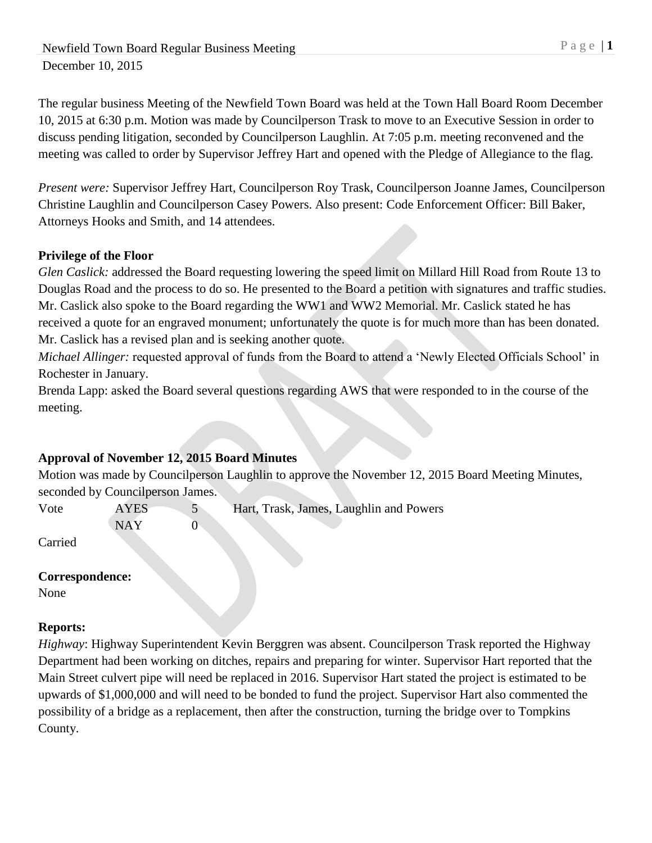Newfield Town Board Regular Business Meeting P a g e | 1 December 10, 2015

The regular business Meeting of the Newfield Town Board was held at the Town Hall Board Room December 10, 2015 at 6:30 p.m. Motion was made by Councilperson Trask to move to an Executive Session in order to discuss pending litigation, seconded by Councilperson Laughlin. At 7:05 p.m. meeting reconvened and the meeting was called to order by Supervisor Jeffrey Hart and opened with the Pledge of Allegiance to the flag.

*Present were:* Supervisor Jeffrey Hart, Councilperson Roy Trask, Councilperson Joanne James, Councilperson Christine Laughlin and Councilperson Casey Powers. Also present: Code Enforcement Officer: Bill Baker, Attorneys Hooks and Smith, and 14 attendees.

### **Privilege of the Floor**

*Glen Caslick:* addressed the Board requesting lowering the speed limit on Millard Hill Road from Route 13 to Douglas Road and the process to do so. He presented to the Board a petition with signatures and traffic studies. Mr. Caslick also spoke to the Board regarding the WW1 and WW2 Memorial. Mr. Caslick stated he has received a quote for an engraved monument; unfortunately the quote is for much more than has been donated. Mr. Caslick has a revised plan and is seeking another quote.

*Michael Allinger:* requested approval of funds from the Board to attend a 'Newly Elected Officials School' in Rochester in January.

Brenda Lapp: asked the Board several questions regarding AWS that were responded to in the course of the meeting.

### **Approval of November 12, 2015 Board Minutes**

 $NAY$  0

Motion was made by Councilperson Laughlin to approve the November 12, 2015 Board Meeting Minutes, seconded by Councilperson James.

Vote AYES 5 Hart, Trask, James, Laughlin and Powers

Carried

### **Correspondence:**

None

### **Reports:**

*Highway*: Highway Superintendent Kevin Berggren was absent. Councilperson Trask reported the Highway Department had been working on ditches, repairs and preparing for winter. Supervisor Hart reported that the Main Street culvert pipe will need be replaced in 2016. Supervisor Hart stated the project is estimated to be upwards of \$1,000,000 and will need to be bonded to fund the project. Supervisor Hart also commented the possibility of a bridge as a replacement, then after the construction, turning the bridge over to Tompkins County.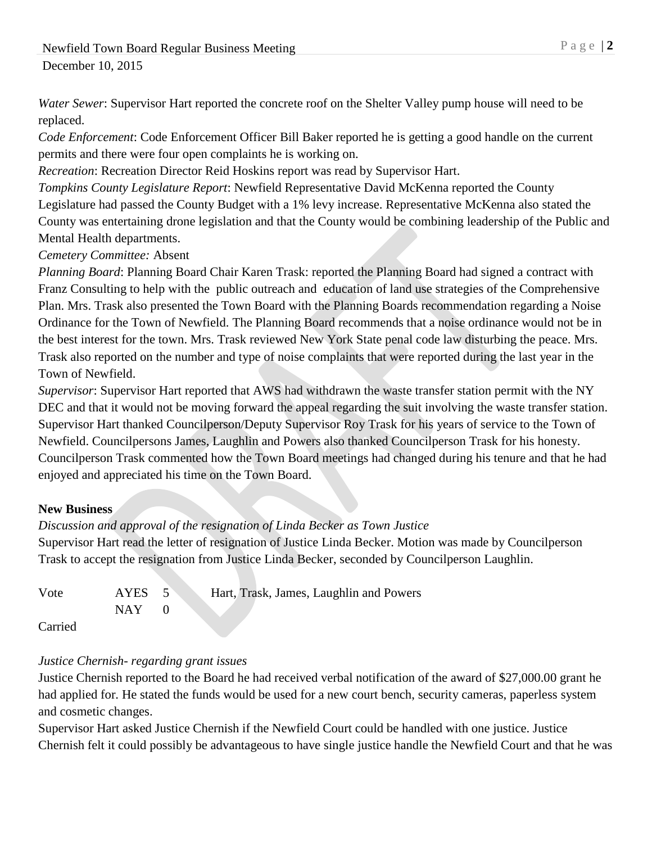*Water Sewer*: Supervisor Hart reported the concrete roof on the Shelter Valley pump house will need to be replaced.

*Code Enforcement*: Code Enforcement Officer Bill Baker reported he is getting a good handle on the current permits and there were four open complaints he is working on.

*Recreation*: Recreation Director Reid Hoskins report was read by Supervisor Hart.

*Tompkins County Legislature Report*: Newfield Representative David McKenna reported the County Legislature had passed the County Budget with a 1% levy increase. Representative McKenna also stated the County was entertaining drone legislation and that the County would be combining leadership of the Public and Mental Health departments.

*Cemetery Committee:* Absent

*Planning Board*: Planning Board Chair Karen Trask: reported the Planning Board had signed a contract with Franz Consulting to help with the public outreach and education of land use strategies of the Comprehensive Plan. Mrs. Trask also presented the Town Board with the Planning Boards recommendation regarding a Noise Ordinance for the Town of Newfield. The Planning Board recommends that a noise ordinance would not be in the best interest for the town. Mrs. Trask reviewed New York State penal code law disturbing the peace. Mrs. Trask also reported on the number and type of noise complaints that were reported during the last year in the Town of Newfield.

*Supervisor*: Supervisor Hart reported that AWS had withdrawn the waste transfer station permit with the NY DEC and that it would not be moving forward the appeal regarding the suit involving the waste transfer station. Supervisor Hart thanked Councilperson/Deputy Supervisor Roy Trask for his years of service to the Town of Newfield. Councilpersons James, Laughlin and Powers also thanked Councilperson Trask for his honesty. Councilperson Trask commented how the Town Board meetings had changed during his tenure and that he had enjoyed and appreciated his time on the Town Board.

### **New Business**

*Discussion and approval of the resignation of Linda Becker as Town Justice*

Supervisor Hart read the letter of resignation of Justice Linda Becker. Motion was made by Councilperson Trask to accept the resignation from Justice Linda Becker, seconded by Councilperson Laughlin.

| Vote | AYES 5 | Hart, Trask, James, Laughlin and Powers |
|------|--------|-----------------------------------------|
|      | NAY    |                                         |
|      |        |                                         |

Carried

### *Justice Chernish- regarding grant issues*

Justice Chernish reported to the Board he had received verbal notification of the award of \$27,000.00 grant he had applied for. He stated the funds would be used for a new court bench, security cameras, paperless system and cosmetic changes.

Supervisor Hart asked Justice Chernish if the Newfield Court could be handled with one justice. Justice Chernish felt it could possibly be advantageous to have single justice handle the Newfield Court and that he was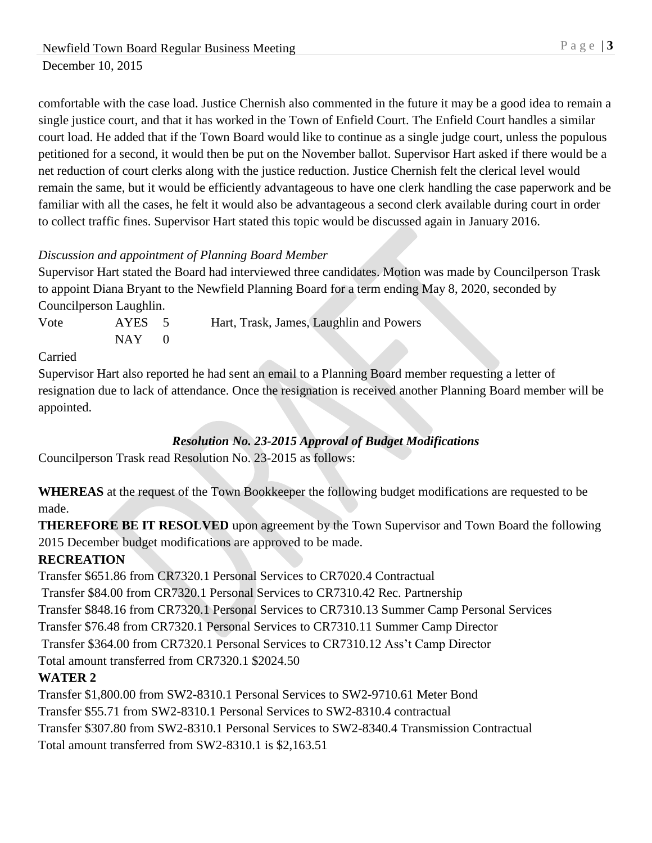comfortable with the case load. Justice Chernish also commented in the future it may be a good idea to remain a single justice court, and that it has worked in the Town of Enfield Court. The Enfield Court handles a similar court load. He added that if the Town Board would like to continue as a single judge court, unless the populous petitioned for a second, it would then be put on the November ballot. Supervisor Hart asked if there would be a net reduction of court clerks along with the justice reduction. Justice Chernish felt the clerical level would remain the same, but it would be efficiently advantageous to have one clerk handling the case paperwork and be familiar with all the cases, he felt it would also be advantageous a second clerk available during court in order to collect traffic fines. Supervisor Hart stated this topic would be discussed again in January 2016.

### *Discussion and appointment of Planning Board Member*

Supervisor Hart stated the Board had interviewed three candidates. Motion was made by Councilperson Trask to appoint Diana Bryant to the Newfield Planning Board for a term ending May 8, 2020, seconded by Councilperson Laughlin.

Vote AYES 5 Hart, Trask, James, Laughlin and Powers  $NAY$  0

#### Carried

Supervisor Hart also reported he had sent an email to a Planning Board member requesting a letter of resignation due to lack of attendance. Once the resignation is received another Planning Board member will be appointed.

### *Resolution No. 23-2015 Approval of Budget Modifications*

Councilperson Trask read Resolution No. 23-2015 as follows:

**WHEREAS** at the request of the Town Bookkeeper the following budget modifications are requested to be made.

**THEREFORE BE IT RESOLVED** upon agreement by the Town Supervisor and Town Board the following 2015 December budget modifications are approved to be made.

## **RECREATION**

Transfer \$651.86 from CR7320.1 Personal Services to CR7020.4 Contractual Transfer \$84.00 from CR7320.1 Personal Services to CR7310.42 Rec. Partnership Transfer \$848.16 from CR7320.1 Personal Services to CR7310.13 Summer Camp Personal Services Transfer \$76.48 from CR7320.1 Personal Services to CR7310.11 Summer Camp Director Transfer \$364.00 from CR7320.1 Personal Services to CR7310.12 Ass't Camp Director Total amount transferred from CR7320.1 \$2024.50 **WATER 2** Transfer \$1,800.00 from SW2-8310.1 Personal Services to SW2-9710.61 Meter Bond Transfer \$55.71 from SW2-8310.1 Personal Services to SW2-8310.4 contractual

Transfer \$307.80 from SW2-8310.1 Personal Services to SW2-8340.4 Transmission Contractual

Total amount transferred from SW2-8310.1 is \$2,163.51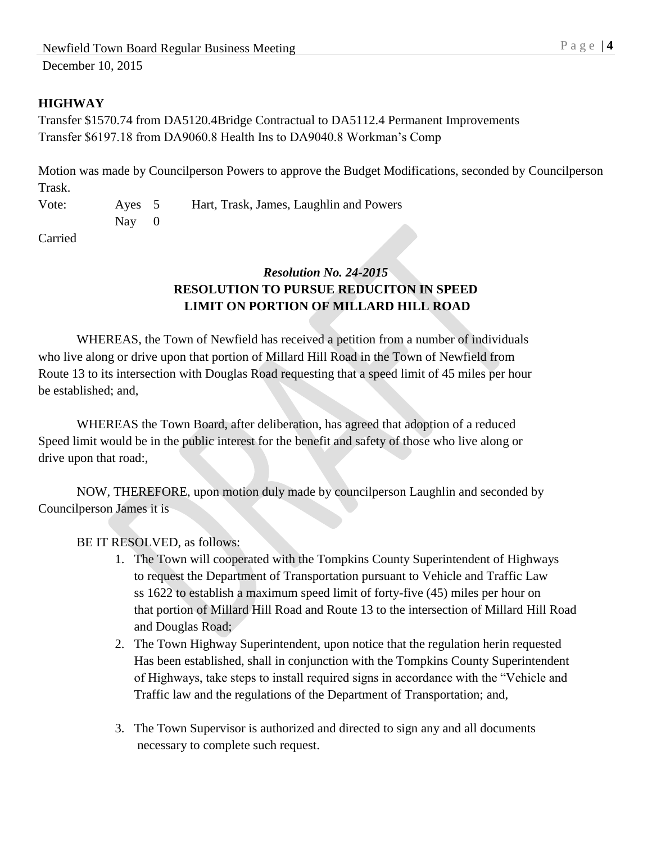### **HIGHWAY**

Transfer \$1570.74 from DA5120.4Bridge Contractual to DA5112.4 Permanent Improvements Transfer \$6197.18 from DA9060.8 Health Ins to DA9040.8 Workman's Comp

Motion was made by Councilperson Powers to approve the Budget Modifications, seconded by Councilperson Trask.

Vote: Ayes 5 Hart, Trask, James, Laughlin and Powers Nay 0

Carried

## *Resolution No. 24-2015* **RESOLUTION TO PURSUE REDUCITON IN SPEED LIMIT ON PORTION OF MILLARD HILL ROAD**

WHEREAS, the Town of Newfield has received a petition from a number of individuals who live along or drive upon that portion of Millard Hill Road in the Town of Newfield from Route 13 to its intersection with Douglas Road requesting that a speed limit of 45 miles per hour be established; and,

WHEREAS the Town Board, after deliberation, has agreed that adoption of a reduced Speed limit would be in the public interest for the benefit and safety of those who live along or drive upon that road:,

NOW, THEREFORE, upon motion duly made by councilperson Laughlin and seconded by Councilperson James it is

BE IT RESOLVED, as follows:

- 1. The Town will cooperated with the Tompkins County Superintendent of Highways to request the Department of Transportation pursuant to Vehicle and Traffic Law ss 1622 to establish a maximum speed limit of forty-five (45) miles per hour on that portion of Millard Hill Road and Route 13 to the intersection of Millard Hill Road and Douglas Road;
- 2. The Town Highway Superintendent, upon notice that the regulation herin requested Has been established, shall in conjunction with the Tompkins County Superintendent of Highways, take steps to install required signs in accordance with the "Vehicle and Traffic law and the regulations of the Department of Transportation; and,
- 3. The Town Supervisor is authorized and directed to sign any and all documents necessary to complete such request.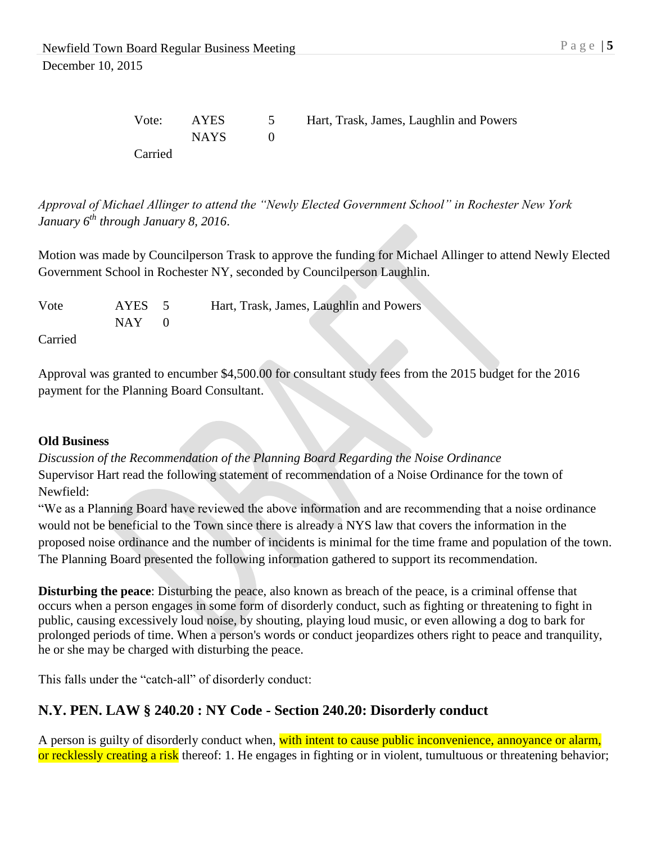*Approval of Michael Allinger to attend the "Newly Elected Government School" in Rochester New York January 6th through January 8, 2016*.

Motion was made by Councilperson Trask to approve the funding for Michael Allinger to attend Newly Elected Government School in Rochester NY, seconded by Councilperson Laughlin.

| Vote    | AYES 5 | Hart, Trask, James, Laughlin and Powers |
|---------|--------|-----------------------------------------|
|         | NAY .  |                                         |
| Carried |        |                                         |

Approval was granted to encumber \$4,500.00 for consultant study fees from the 2015 budget for the 2016 payment for the Planning Board Consultant.

#### **Old Business**

*Discussion of the Recommendation of the Planning Board Regarding the Noise Ordinance* Supervisor Hart read the following statement of recommendation of a Noise Ordinance for the town of Newfield:

"We as a Planning Board have reviewed the above information and are recommending that a noise ordinance would not be beneficial to the Town since there is already a NYS law that covers the information in the proposed noise ordinance and the number of incidents is minimal for the time frame and population of the town. The Planning Board presented the following information gathered to support its recommendation.

**Disturbing the peace**: Disturbing the peace, also known as breach of the peace, is a criminal offense that occurs when a person engages in some form of disorderly conduct, such as fighting or threatening to fight in public, causing excessively loud noise, by shouting, playing loud music, or even allowing a dog to bark for prolonged periods of time. When a person's words or conduct jeopardizes others right to peace and tranquility, he or she may be charged with disturbing the peace.

This falls under the "catch-all" of disorderly conduct:

# **N.Y. PEN. LAW § 240.20 : NY Code - Section 240.20: Disorderly conduct**

A person is guilty of disorderly conduct when, with intent to cause public inconvenience, annoyance or alarm, or recklessly creating a risk thereof: 1. He engages in fighting or in violent, tumultuous or threatening behavior;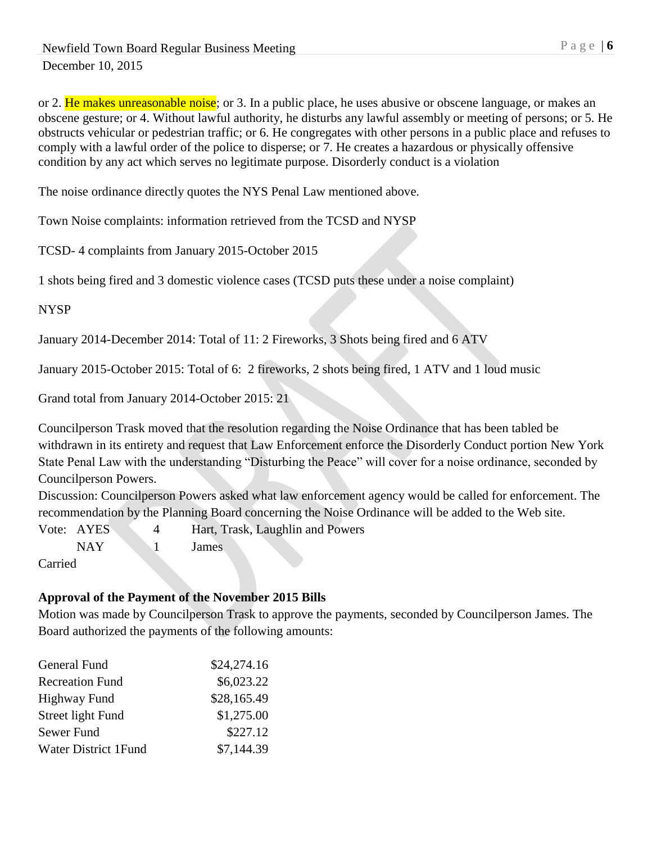or 2. He makes unreasonable noise; or 3. In a public place, he uses abusive or obscene language, or makes an obscene gesture; or 4. Without lawful authority, he disturbs any lawful assembly or meeting of persons; or 5. He obstructs vehicular or pedestrian traffic; or 6. He congregates with other persons in a public place and refuses to comply with a lawful order of the police to disperse; or 7. He creates a hazardous or physically offensive condition by any act which serves no legitimate purpose. Disorderly conduct is a violation

The noise ordinance directly quotes the NYS Penal Law mentioned above.

Town Noise complaints: information retrieved from the TCSD and NYSP

TCSD- 4 complaints from January 2015-October 2015

1 shots being fired and 3 domestic violence cases (TCSD puts these under a noise complaint)

### NYSP

January 2014-December 2014: Total of 11: 2 Fireworks, 3 Shots being fired and 6 ATV

January 2015-October 2015: Total of 6: 2 fireworks, 2 shots being fired, 1 ATV and 1 loud music

Grand total from January 2014-October 2015: 21

Councilperson Trask moved that the resolution regarding the Noise Ordinance that has been tabled be withdrawn in its entirety and request that Law Enforcement enforce the Disorderly Conduct portion New York State Penal Law with the understanding "Disturbing the Peace" will cover for a noise ordinance, seconded by Councilperson Powers.

Discussion: Councilperson Powers asked what law enforcement agency would be called for enforcement. The recommendation by the Planning Board concerning the Noise Ordinance will be added to the Web site.

Vote: AYES 4 Hart, Trask, Laughlin and Powers

NAY 1 James

Carried

# **Approval of the Payment of the November 2015 Bills**

Motion was made by Councilperson Trask to approve the payments, seconded by Councilperson James. The Board authorized the payments of the following amounts:

| General Fund                | \$24,274.16 |
|-----------------------------|-------------|
| <b>Recreation Fund</b>      | \$6,023.22  |
| Highway Fund                | \$28,165.49 |
| Street light Fund           | \$1,275.00  |
| Sewer Fund                  | \$227.12    |
| <b>Water District 1Fund</b> | \$7,144.39  |